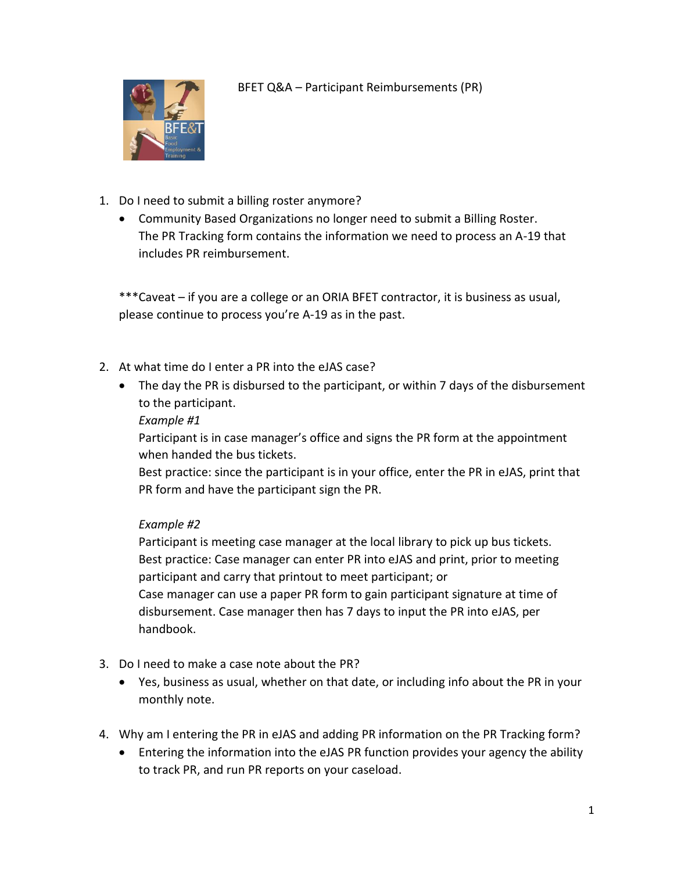

BFET Q&A – Participant Reimbursements (PR)

- 1. Do I need to submit a billing roster anymore?
	- Community Based Organizations no longer need to submit a Billing Roster. The PR Tracking form contains the information we need to process an A-19 that includes PR reimbursement.

\*\*\*Caveat – if you are a college or an ORIA BFET contractor, it is business as usual, please continue to process you're A-19 as in the past.

- 2. At what time do I enter a PR into the eJAS case?
	- The day the PR is disbursed to the participant, or within 7 days of the disbursement to the participant.

## *Example #1*

Participant is in case manager's office and signs the PR form at the appointment when handed the bus tickets.

Best practice: since the participant is in your office, enter the PR in eJAS, print that PR form and have the participant sign the PR.

## *Example #2*

Participant is meeting case manager at the local library to pick up bus tickets. Best practice: Case manager can enter PR into eJAS and print, prior to meeting participant and carry that printout to meet participant; or Case manager can use a paper PR form to gain participant signature at time of disbursement. Case manager then has 7 days to input the PR into eJAS, per handbook.

- 3. Do I need to make a case note about the PR?
	- Yes, business as usual, whether on that date, or including info about the PR in your monthly note.
- 4. Why am I entering the PR in eJAS and adding PR information on the PR Tracking form?
	- Entering the information into the eJAS PR function provides your agency the ability to track PR, and run PR reports on your caseload.